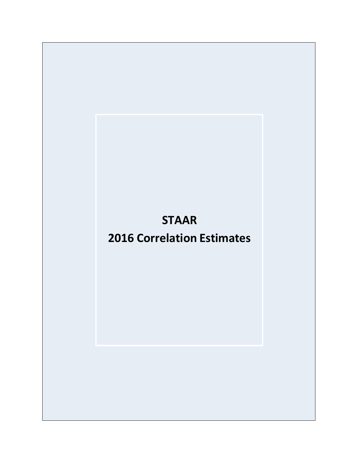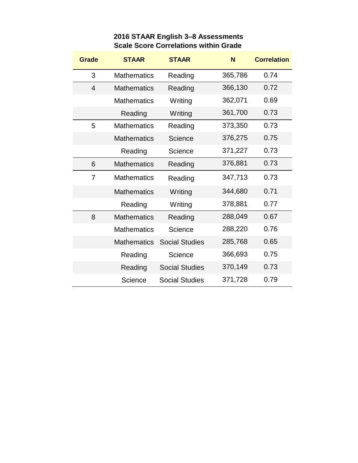| <b>Grade</b>   | <b>STAAR</b>       | <b>STAAR</b>          | N       | <b>Correlation</b> |
|----------------|--------------------|-----------------------|---------|--------------------|
| 3              | <b>Mathematics</b> | Reading               | 365,786 | 0.74               |
| 4              | <b>Mathematics</b> | Reading               | 366,130 | 0.72               |
|                | <b>Mathematics</b> | Writing               | 362,071 | 0.69               |
|                | Reading            | Writing               | 361,700 | 0.73               |
| 5              | <b>Mathematics</b> | Reading               | 373,350 | 0.73               |
|                | <b>Mathematics</b> | Science               | 376,275 | 0.75               |
|                | Reading            | Science               | 371,227 | 0.73               |
| 6              | <b>Mathematics</b> | Reading               | 376,881 | 0.73               |
| $\overline{7}$ | <b>Mathematics</b> | Reading               | 347,713 | 0.73               |
|                | <b>Mathematics</b> | Writing               | 344,680 | 0.71               |
|                | Reading            | Writing               | 378,881 | 0.77               |
| 8              | <b>Mathematics</b> | Reading               | 288,049 | 0.67               |
|                | <b>Mathematics</b> | Science               | 288,220 | 0.76               |
|                | <b>Mathematics</b> | <b>Social Studies</b> | 285,768 | 0.65               |
|                | Reading            | Science               | 366,693 | 0.75               |
|                | Reading            | <b>Social Studies</b> | 370,149 | 0.73               |
|                | Science            | <b>Social Studies</b> | 371,728 | 0.79               |

## **2016 STAAR English 3–8 Assessments Scale Score Correlations within Grade**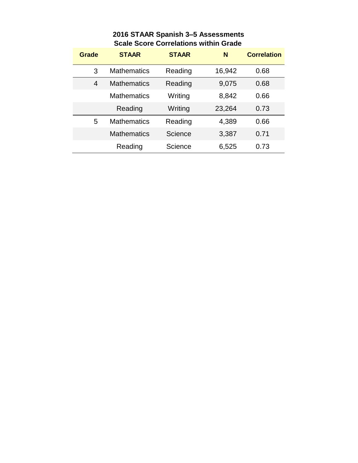|  | 2016 STAAR Spanish 3-5 Assessments           |
|--|----------------------------------------------|
|  | <b>Scale Score Correlations within Grade</b> |

| Grade | <b>STAAR</b>       | <b>STAAR</b> | N      | <b>Correlation</b> |
|-------|--------------------|--------------|--------|--------------------|
| 3     | <b>Mathematics</b> | Reading      | 16,942 | 0.68               |
| 4     | <b>Mathematics</b> | Reading      | 9,075  | 0.68               |
|       | <b>Mathematics</b> | Writing      | 8,842  | 0.66               |
|       | Reading            | Writing      | 23,264 | 0.73               |
| 5     | <b>Mathematics</b> | Reading      | 4,389  | 0.66               |
|       | Mathematics        | Science      | 3,387  | 0.71               |
|       | Reading            | Science      | 6,525  | 0.73               |